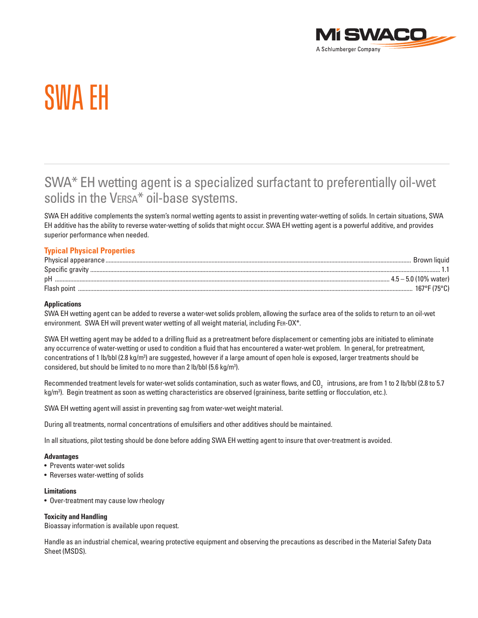

# SWA EH

## SWA\* EH wetting agent is a specialized surfactant to preferentially oil-wet solids in the VERSA<sup>\*</sup> oil-base systems.

SWA EH additive complements the system's normal wetting agents to assist in preventing water-wetting of solids. In certain situations, SWA EH additive has the ability to reverse water-wetting of solids that might occur. SWA EH wetting agent is a powerful additive, and provides superior performance when needed.

### **Typical Physical Properties**

| Physical appearance. | Brown liquid            |
|----------------------|-------------------------|
| Specific gravity     |                         |
| рH                   | . 4.5 – 5.0 (10% water) |
| Flash poin           |                         |

#### **Applications**

SWA EH wetting agent can be added to reverse a water-wet solids problem, allowing the surface area of the solids to return to an oil-wet environment. SWA EH will prevent water wetting of all weight material, including FER-OX\*.

SWA EH wetting agent may be added to a drilling fluid as a pretreatment before displacement or cementing jobs are initiated to eliminate any occurrence of water-wetting or used to condition a fluid that has encountered a water-wet problem. In general, for pretreatment, concentrations of 1 lb/bbl (2.8 kg/m<sup>3</sup>) are suggested, however if a large amount of open hole is exposed, larger treatments should be considered, but should be limited to no more than 2 lb/bbl (5.6 kg/m<sup>3</sup>).

Recommended treatment levels for water-wet solids contamination, such as water flows, and CO $_{_2}\,$  intrusions, are from 1 to 2 lb/bbl (2.8 to 5.7  $\,$ kg/m3 ). Begin treatment as soon as wetting characteristics are observed (graininess, barite settling or flocculation, etc.).

SWA EH wetting agent will assist in preventing sag from water-wet weight material.

During all treatments, normal concentrations of emulsifiers and other additives should be maintained.

In all situations, pilot testing should be done before adding SWA EH wetting agent to insure that over-treatment is avoided.

#### **Advantages**

- Prevents water-wet solids
- Reverses water-wetting of solids

#### **Limitations**

• Over-treatment may cause low rheology

#### **Toxicity and Handling**

Bioassay information is available upon request.

Handle as an industrial chemical, wearing protective equipment and observing the precautions as described in the Material Safety Data Sheet (MSDS).